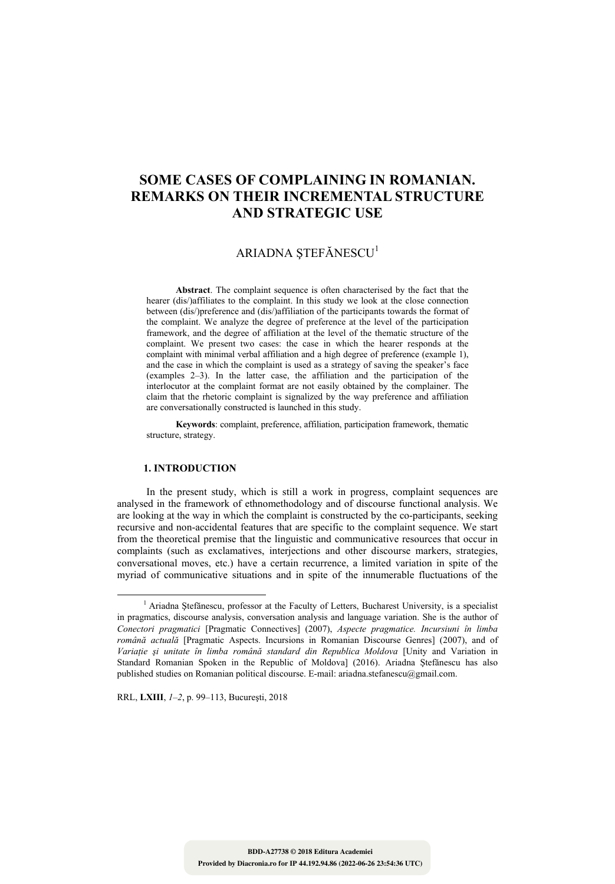# **SOME CASES OF COMPLAINING IN ROMANIAN. REMARKS ON THEIR INCREMENTAL STRUCTURE AND STRATEGIC USE**

## ARIADNA ȘTEFĂNESCU<sup>1</sup>

**Abstract**. The complaint sequence is often characterised by the fact that the hearer (dis/)affiliates to the complaint. In this study we look at the close connection between (dis/)preference and (dis/)affiliation of the participants towards the format of the complaint. We analyze the degree of preference at the level of the participation framework, and the degree of affiliation at the level of the thematic structure of the complaint. We present two cases: the case in which the hearer responds at the complaint with minimal verbal affiliation and a high degree of preference (example 1), and the case in which the complaint is used as a strategy of saving the speaker's face (examples 2–3). In the latter case, the affiliation and the participation of the interlocutor at the complaint format are not easily obtained by the complainer. The claim that the rhetoric complaint is signalized by the way preference and affiliation are conversationally constructed is launched in this study.

**Keywords**: complaint, preference, affiliation, participation framework, thematic structure, strategy.

#### **1. INTRODUCTION**

In the present study, which is still a work in progress, complaint sequences are analysed in the framework of ethnomethodology and of discourse functional analysis. We are looking at the way in which the complaint is constructed by the co-participants, seeking recursive and non-accidental features that are specific to the complaint sequence. We start from the theoretical premise that the linguistic and communicative resources that occur in complaints (such as exclamatives, interjections and other discourse markers, strategies, conversational moves, etc.) have a certain recurrence, a limited variation in spite of the myriad of communicative situations and in spite of the innumerable fluctuations of the

RRL, **LXIII**, *1–2*, p. 99–113, Bucureşti, 2018

<sup>&</sup>lt;sup>1</sup> <sup>1</sup> Ariadna Ștefănescu, professor at the Faculty of Letters, Bucharest University, is a specialist in pragmatics, discourse analysis, conversation analysis and language variation. She is the author of *Conectori pragmatici* [Pragmatic Connectives] (2007), *Aspecte pragmatice. Incursiuni în limba română actuală* [Pragmatic Aspects. Incursions in Romanian Discourse Genres] (2007), and of *Variaţie şi unitate în limba română standard din Republica Moldova* [Unity and Variation in Standard Romanian Spoken in the Republic of Moldova] (2016). Ariadna Ştefănescu has also published studies on Romanian political discourse. E-mail: ariadna.stefanescu@gmail.com.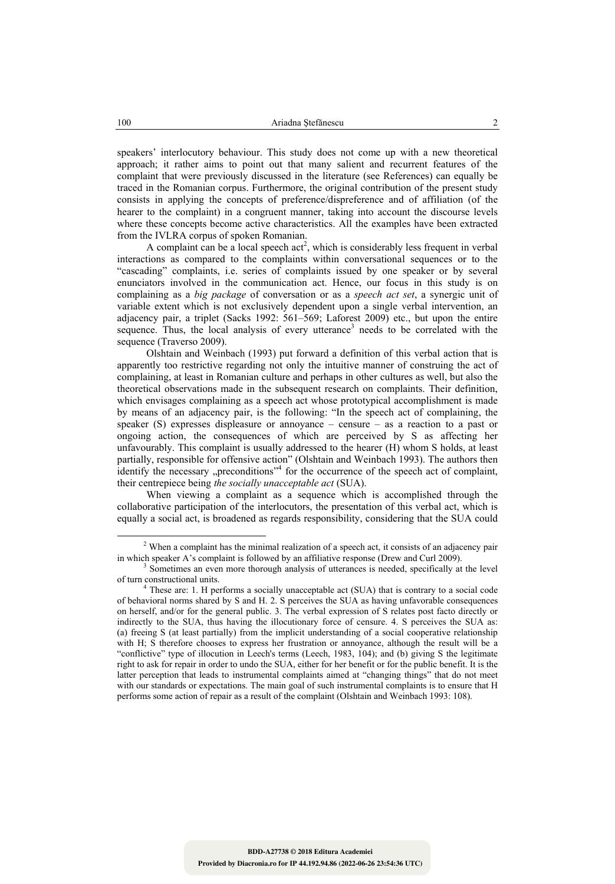speakers' interlocutory behaviour. This study does not come up with a new theoretical approach; it rather aims to point out that many salient and recurrent features of the complaint that were previously discussed in the literature (see References) can equally be traced in the Romanian corpus. Furthermore, the original contribution of the present study consists in applying the concepts of preference/dispreference and of affiliation (of the hearer to the complaint) in a congruent manner, taking into account the discourse levels where these concepts become active characteristics. All the examples have been extracted from the IVLRA corpus of spoken Romanian.

A complaint can be a local speech  $act^2$ , which is considerably less frequent in verbal interactions as compared to the complaints within conversational sequences or to the "cascading" complaints, i.e. series of complaints issued by one speaker or by several enunciators involved in the communication act. Hence, our focus in this study is on complaining as a *big package* of conversation or as a *speech act set*, a synergic unit of variable extent which is not exclusively dependent upon a single verbal intervention, an adjacency pair, a triplet (Sacks 1992: 561–569; Laforest 2009) etc., but upon the entire sequence. Thus, the local analysis of every utterance<sup>3</sup> needs to be correlated with the sequence (Traverso 2009).

 Olshtain and Weinbach (1993) put forward a definition of this verbal action that is apparently too restrictive regarding not only the intuitive manner of construing the act of complaining, at least in Romanian culture and perhaps in other cultures as well, but also the theoretical observations made in the subsequent research on complaints. Their definition, which envisages complaining as a speech act whose prototypical accomplishment is made by means of an adjacency pair, is the following: "In the speech act of complaining, the speaker (S) expresses displeasure or annoyance – censure – as a reaction to a past or ongoing action, the consequences of which are perceived by S as affecting her unfavourably. This complaint is usually addressed to the hearer (H) whom S holds, at least partially, responsible for offensive action" (Olshtain and Weinbach 1993). The authors then identify the necessary "preconditions"<sup>4</sup> for the occurrence of the speech act of complaint, their centrepiece being *the socially unacceptable act* (SUA).

 When viewing a complaint as a sequence which is accomplished through the collaborative participation of the interlocutors, the presentation of this verbal act, which is equally a social act, is broadened as regards responsibility, considering that the SUA could

<sup>2</sup> <sup>2</sup> When a complaint has the minimal realization of a speech act, it consists of an adjacency pair in which speaker A's complaint is followed by an affiliative response (Drew and Curl 2009).

Sometimes an even more thorough analysis of utterances is needed, specifically at the level of turn constructional units. 4

These are: 1. H performs a socially unacceptable act (SUA) that is contrary to a social code of behavioral norms shared by S and H. 2. S perceives the SUA as having unfavorable consequences on herself, and/or for the general public. 3. The verbal expression of S relates post facto directly or indirectly to the SUA, thus having the illocutionary force of censure. 4. S perceives the SUA as: (a) freeing S (at least partially) from the implicit understanding of a social cooperative relationship with H; S therefore chooses to express her frustration or annoyance, although the result will be a "conflictive" type of illocution in Leech's terms (Leech, 1983, 104); and (b) giving S the legitimate right to ask for repair in order to undo the SUA, either for her benefit or for the public benefit. It is the latter perception that leads to instrumental complaints aimed at "changing things" that do not meet with our standards or expectations. The main goal of such instrumental complaints is to ensure that H performs some action of repair as a result of the complaint (Olshtain and Weinbach 1993: 108).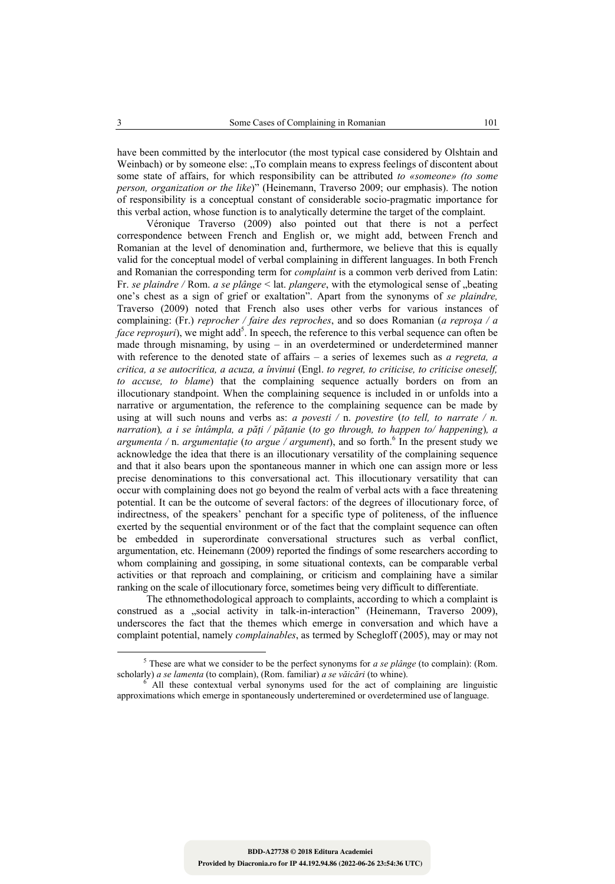have been committed by the interlocutor (the most typical case considered by Olshtain and Weinbach) or by someone else: "To complain means to express feelings of discontent about some state of affairs, for which responsibility can be attributed *to «someone» (to some person, organization or the like*)" (Heinemann, Traverso 2009; our emphasis). The notion of responsibility is a conceptual constant of considerable socio-pragmatic importance for this verbal action, whose function is to analytically determine the target of the complaint.

Véronique Traverso (2009) also pointed out that there is not a perfect correspondence between French and English or, we might add, between French and Romanian at the level of denomination and, furthermore, we believe that this is equally valid for the conceptual model of verbal complaining in different languages. In both French and Romanian the corresponding term for *complaint* is a common verb derived from Latin: Fr. se plaindre / Rom. a se plânge < lat. plangere, with the etymological sense of "beating one's chest as a sign of grief or exaltation". Apart from the synonyms of *se plaindre,*  Traverso (2009) noted that French also uses other verbs for various instances of complaining: (Fr.) *reprocher / faire des reproches*, and so does Romanian (*a reproşa / a face reproşuri*), we might add<sup>5</sup>. In speech, the reference to this verbal sequence can often be made through misnaming, by using – in an overdetermined or underdetermined manner with reference to the denoted state of affairs – a series of lexemes such as *a regreta, a critica, a se autocritica, a acuza, a învinui* (Engl. *to regret, to criticise, to criticise oneself, to accuse, to blame*) that the complaining sequence actually borders on from an illocutionary standpoint. When the complaining sequence is included in or unfolds into a narrative or argumentation, the reference to the complaining sequence can be made by using at will such nouns and verbs as: *a povesti* / n. *povestire* (*to tell, to narrate* / *n. narration*)*, a i se întâmpla, a păţi / păţanie* (*to go through, to happen to/ happening*)*, a argumenta* / n. *argumentație* (*to argue* / *argument*), and so forth.<sup>6</sup> In the present study we acknowledge the idea that there is an illocutionary versatility of the complaining sequence and that it also bears upon the spontaneous manner in which one can assign more or less precise denominations to this conversational act. This illocutionary versatility that can occur with complaining does not go beyond the realm of verbal acts with a face threatening potential. It can be the outcome of several factors: of the degrees of illocutionary force, of indirectness, of the speakers' penchant for a specific type of politeness, of the influence exerted by the sequential environment or of the fact that the complaint sequence can often be embedded in superordinate conversational structures such as verbal conflict, argumentation, etc. Heinemann (2009) reported the findings of some researchers according to whom complaining and gossiping, in some situational contexts, can be comparable verbal activities or that reproach and complaining, or criticism and complaining have a similar ranking on the scale of illocutionary force, sometimes being very difficult to differentiate.

The ethnomethodological approach to complaints, according to which a complaint is construed as a "social activity in talk-in-interaction" (Heinemann, Traverso 2009), underscores the fact that the themes which emerge in conversation and which have a complaint potential, namely *complainables*, as termed by Schegloff (2005), may or may not

 $\frac{1}{5}$  $5$  These are what we consider to be the perfect synonyms for *a se plânge* (to complain): (Rom. scholarly) *a se lamenta* (to complain), (Rom. familiar) *a se văicări* (to whine). 6

All these contextual verbal synonyms used for the act of complaining are linguistic approximations which emerge in spontaneously underteremined or overdetermined use of language.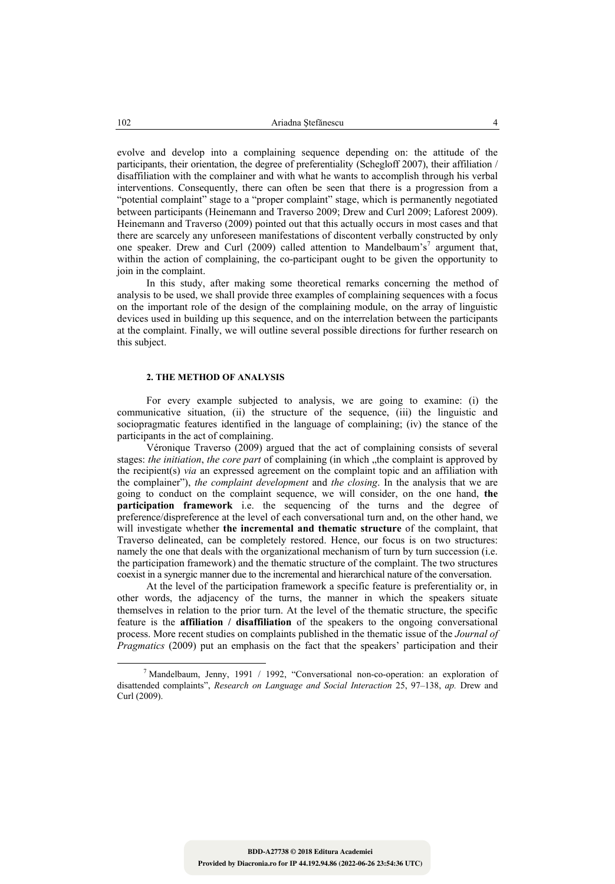evolve and develop into a complaining sequence depending on: the attitude of the participants, their orientation, the degree of preferentiality (Schegloff 2007), their affiliation / disaffiliation with the complainer and with what he wants to accomplish through his verbal interventions. Consequently, there can often be seen that there is a progression from a "potential complaint" stage to a "proper complaint" stage, which is permanently negotiated between participants (Heinemann and Traverso 2009; Drew and Curl 2009; Laforest 2009). Heinemann and Traverso (2009) pointed out that this actually occurs in most cases and that there are scarcely any unforeseen manifestations of discontent verbally constructed by only one speaker. Drew and Curl (2009) called attention to Mandelbaum's<sup>7</sup> argument that, within the action of complaining, the co-participant ought to be given the opportunity to join in the complaint.

In this study, after making some theoretical remarks concerning the method of analysis to be used, we shall provide three examples of complaining sequences with a focus on the important role of the design of the complaining module, on the array of linguistic devices used in building up this sequence, and on the interrelation between the participants at the complaint. Finally, we will outline several possible directions for further research on this subject.

## **2. THE METHOD OF ANALYSIS**

For every example subjected to analysis, we are going to examine: (i) the communicative situation, (ii) the structure of the sequence, (iii) the linguistic and sociopragmatic features identified in the language of complaining; (iv) the stance of the participants in the act of complaining.

Véronique Traverso (2009) argued that the act of complaining consists of several stages: *the initiation*, *the core part* of complaining (in which , the complaint is approved by the recipient(s) *via* an expressed agreement on the complaint topic and an affiliation with the complainer"), *the complaint development* and *the closing*. In the analysis that we are going to conduct on the complaint sequence, we will consider, on the one hand, **the participation framework** i.e. the sequencing of the turns and the degree of preference/dispreference at the level of each conversational turn and, on the other hand, we will investigate whether **the incremental and thematic structure** of the complaint, that Traverso delineated, can be completely restored. Hence, our focus is on two structures: namely the one that deals with the organizational mechanism of turn by turn succession (i.e. the participation framework) and the thematic structure of the complaint. The two structures coexist in a synergic manner due to the incremental and hierarchical nature of the conversation.

At the level of the participation framework a specific feature is preferentiality or, in other words, the adjacency of the turns, the manner in which the speakers situate themselves in relation to the prior turn. At the level of the thematic structure, the specific feature is the **affiliation / disaffiliation** of the speakers to the ongoing conversational process. More recent studies on complaints published in the thematic issue of the *Journal of Pragmatics (2009)* put an emphasis on the fact that the speakers' participation and their

<sup>7</sup> <sup>7</sup> Mandelbaum, Jenny, 1991 / 1992, "Conversational non-co-operation: an exploration of disattended complaints", *Research on Language and Social Interaction* 25, 97–138, *ap.* Drew and Curl (2009).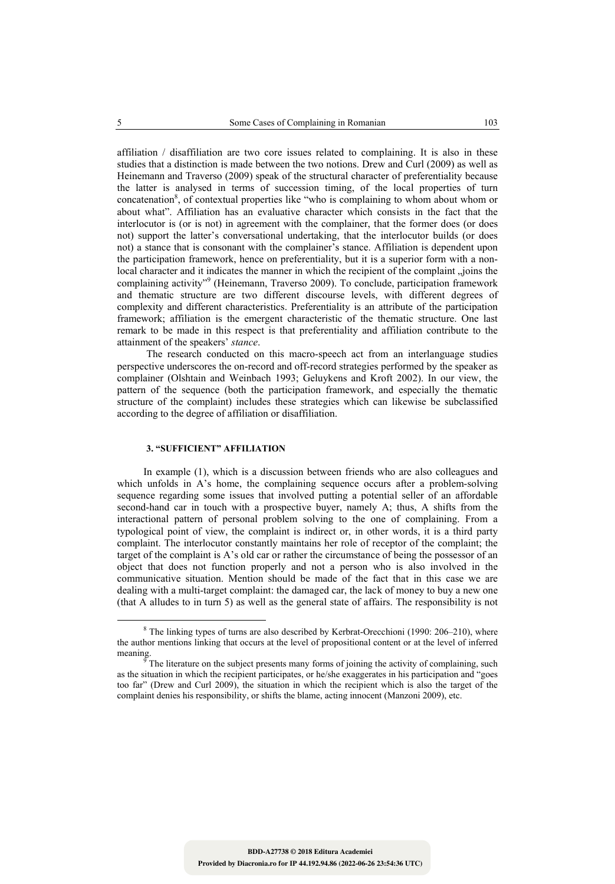affiliation / disaffiliation are two core issues related to complaining. It is also in these studies that a distinction is made between the two notions. Drew and Curl (2009) as well as Heinemann and Traverso (2009) speak of the structural character of preferentiality because the latter is analysed in terms of succession timing, of the local properties of turn concatenation<sup>8</sup>, of contextual properties like "who is complaining to whom about whom or about what". Affiliation has an evaluative character which consists in the fact that the interlocutor is (or is not) in agreement with the complainer, that the former does (or does not) support the latter's conversational undertaking, that the interlocutor builds (or does not) a stance that is consonant with the complainer's stance. Affiliation is dependent upon the participation framework, hence on preferentiality, but it is a superior form with a nonlocal character and it indicates the manner in which the recipient of the complaint violes the complaining activity"<sup>9</sup> (Heinemann, Traverso 2009). To conclude, participation framework and thematic structure are two different discourse levels, with different degrees of complexity and different characteristics. Preferentiality is an attribute of the participation framework; affiliation is the emergent characteristic of the thematic structure. One last remark to be made in this respect is that preferentiality and affiliation contribute to the attainment of the speakers' *stance*.

The research conducted on this macro-speech act from an interlanguage studies perspective underscores the on-record and off-record strategies performed by the speaker as complainer (Olshtain and Weinbach 1993; Geluykens and Kroft 2002). In our view, the pattern of the sequence (both the participation framework, and especially the thematic structure of the complaint) includes these strategies which can likewise be subclassified according to the degree of affiliation or disaffiliation.

## **3. "SUFFICIENT" AFFILIATION**

In example (1), which is a discussion between friends who are also colleagues and which unfolds in A's home, the complaining sequence occurs after a problem-solving sequence regarding some issues that involved putting a potential seller of an affordable second-hand car in touch with a prospective buyer, namely A; thus, A shifts from the interactional pattern of personal problem solving to the one of complaining. From a typological point of view, the complaint is indirect or, in other words, it is a third party complaint. The interlocutor constantly maintains her role of receptor of the complaint; the target of the complaint is A's old car or rather the circumstance of being the possessor of an object that does not function properly and not a person who is also involved in the communicative situation. Mention should be made of the fact that in this case we are dealing with a multi-target complaint: the damaged car, the lack of money to buy a new one (that A alludes to in turn 5) as well as the general state of affairs. The responsibility is not

<sup>8</sup>  $8$  The linking types of turns are also described by Kerbrat-Orecchioni (1990: 206–210), where the author mentions linking that occurs at the level of propositional content or at the level of inferred

meaning.<br><sup>9</sup> The literature on the subject presents many forms of joining the activity of complaining, such as the situation in which the recipient participates, or he/she exaggerates in his participation and "goes too far" (Drew and Curl 2009), the situation in which the recipient which is also the target of the complaint denies his responsibility, or shifts the blame, acting innocent (Manzoni 2009), etc.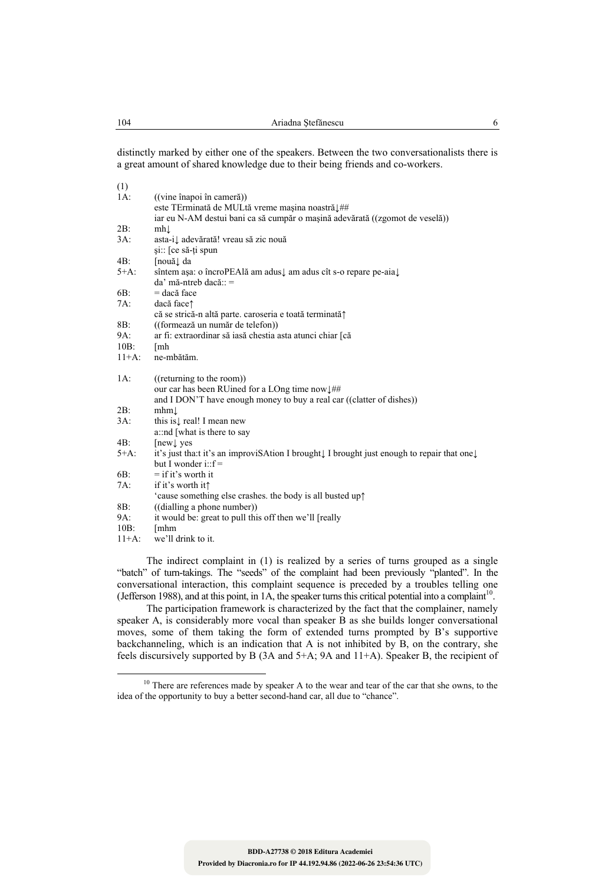distinctly marked by either one of the speakers. Between the two conversationalists there is a great amount of shared knowledge due to their being friends and co-workers.

| (1)      |                                                                                                      |
|----------|------------------------------------------------------------------------------------------------------|
| $1A$ :   | ((vine înapoi în cameră))                                                                            |
|          | este TErminată de MULtă vreme mașina noastră1##                                                      |
|          | iar eu N-AM destui bani ca să cumpăr o mașină adevărată ((zgomot de veselă))                         |
| 2B:      | mhl                                                                                                  |
| $3A$ :   | asta-i↓ adevărată! vreau să zic nouă                                                                 |
|          | și: [ce să-ți spun                                                                                   |
| 4B:      | [nouă↓ da                                                                                            |
| $5+A$ :  | sîntem așa: o încroPEAlă am adus↓ am adus cît s-o repare pe-aia↓                                     |
|          | da' mă-ntreb dacă:: =                                                                                |
| 6B:      | = dacă face                                                                                          |
| $7A$ :   | dacă face <sup><math>\uparrow</math></sup>                                                           |
|          | că se strică-n altă parte. caroseria e toată terminată?                                              |
| 8B:      | ((formează un număr de telefon))                                                                     |
| 9A:      | ar fi: extraordinar să iasă chestia asta atunci chiar [că                                            |
| $10B$ :  | [mh                                                                                                  |
| $11+A$ : | ne-mbătăm.                                                                                           |
| $1A$ :   | ((returning to the room))                                                                            |
|          | our car has been RUined for a LOng time now $\downarrow \#$                                          |
|          | and I DON'T have enough money to buy a real car ((clatter of dishes))                                |
| 2B:      | mhm                                                                                                  |
| $3A$ :   | this is $\downarrow$ real! I mean new                                                                |
|          | a::nd [what is there to say                                                                          |
| 4B:      | $[new]$ yes                                                                                          |
| $5+A$ :  | it's just that it's an improvisation I brought I brought just enough to repair that one $\downarrow$ |
|          | but I wonder $i$ :: $f =$                                                                            |
| 6B:      | $=$ if it's worth it                                                                                 |
| $7A$ :   | if it's worth it?                                                                                    |
|          | 'cause something else crashes. the body is all busted up $\uparrow$                                  |
| 8B:      | ((dialling a phone number))                                                                          |
| 9A:      | it would be: great to pull this off then we'll [really                                               |
| $10B$ :  | [mhm                                                                                                 |
| $11+A$ : | we'll drink to it.                                                                                   |
|          |                                                                                                      |

The indirect complaint in (1) is realized by a series of turns grouped as a single "batch" of turn-takings. The "seeds" of the complaint had been previously "planted". In the conversational interaction, this complaint sequence is preceded by a troubles telling one (Jefferson 1988), and at this point, in 1A, the speaker turns this critical potential into a complaint<sup>10</sup>.

The participation framework is characterized by the fact that the complainer, namely speaker A, is considerably more vocal than speaker B as she builds longer conversational moves, some of them taking the form of extended turns prompted by B's supportive backchanneling, which is an indication that A is not inhibited by B, on the contrary, she feels discursively supported by B (3A and 5+A; 9A and 11+A). Speaker B, the recipient of

 $(1)$ 

 $10$  There are references made by speaker A to the wear and tear of the car that she owns, to the idea of the opportunity to buy a better second-hand car, all due to "chance".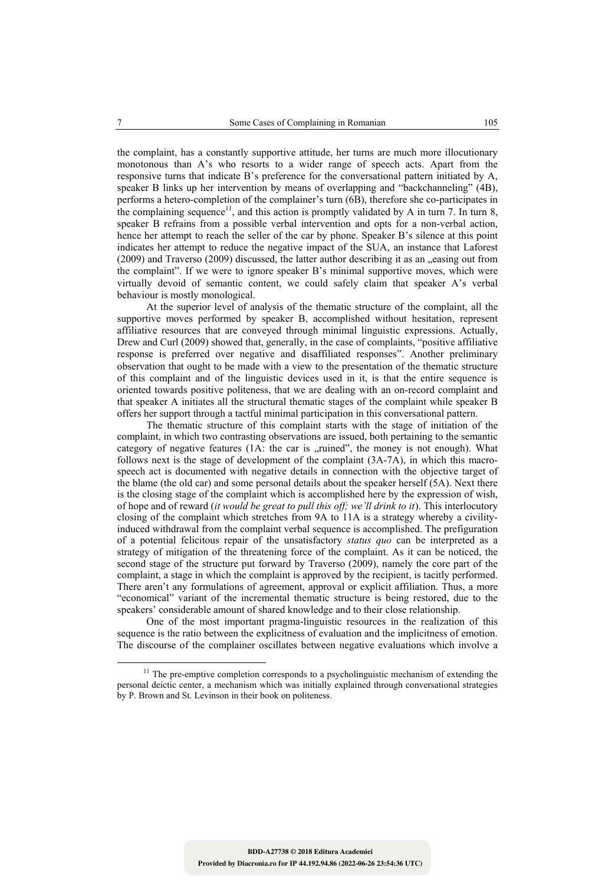the complaint, has a constantly supportive attitude, her turns are much more illocutionary monotonous than A's who resorts to a wider range of speech acts. Apart from the responsive turns that indicate B's preference for the conversational pattern initiated by A, speaker B links up her intervention by means of overlapping and "backchanneling" (4B), performs a hetero-completion of the complainer's turn (6B), therefore she co-participates in the complaining sequence<sup>11</sup>, and this action is promptly validated by A in turn 7. In turn 8, speaker B refrains from a possible verbal intervention and opts for a non-verbal action, hence her attempt to reach the seller of the car by phone. Speaker B's silence at this point indicates her attempt to reduce the negative impact of the SUA, an instance that Laforest  $(2009)$  and Traverso  $(2009)$  discussed, the latter author describing it as an  $\alpha$  easing out from the complaint". If we were to ignore speaker B's minimal supportive moves, which were virtually devoid of semantic content, we could safely claim that speaker A's verbal behaviour is mostly monological.

 At the superior level of analysis of the thematic structure of the complaint, all the supportive moves performed by speaker B, accomplished without hesitation, represent affiliative resources that are conveyed through minimal linguistic expressions. Actually, Drew and Curl (2009) showed that, generally, in the case of complaints, "positive affiliative response is preferred over negative and disaffiliated responses". Another preliminary observation that ought to be made with a view to the presentation of the thematic structure of this complaint and of the linguistic devices used in it, is that the entire sequence is oriented towards positive politeness, that we are dealing with an on-record complaint and that speaker A initiates all the structural thematic stages of the complaint while speaker B offers her support through a tactful minimal participation in this conversational pattern.

 The thematic structure of this complaint starts with the stage of initiation of the complaint, in which two contrasting observations are issued, both pertaining to the semantic category of negative features (1A: the car is "ruined", the money is not enough). What follows next is the stage of development of the complaint (3A-7A), in which this macrospeech act is documented with negative details in connection with the objective target of the blame (the old car) and some personal details about the speaker herself (5A). Next there is the closing stage of the complaint which is accomplished here by the expression of wish, of hope and of reward (*it would be great to pull this off; we'll drink to it*). This interlocutory closing of the complaint which stretches from 9A to 11A is a strategy whereby a civilityinduced withdrawal from the complaint verbal sequence is accomplished. The prefiguration of a potential felicitous repair of the unsatisfactory *status quo* can be interpreted as a strategy of mitigation of the threatening force of the complaint. As it can be noticed, the second stage of the structure put forward by Traverso (2009), namely the core part of the complaint, a stage in which the complaint is approved by the recipient, is tacitly performed. There aren't any formulations of agreement, approval or explicit affiliation. Thus, a more "economical" variant of the incremental thematic structure is being restored, due to the speakers' considerable amount of shared knowledge and to their close relationship.

 One of the most important pragma-linguistic resources in the realization of this sequence is the ratio between the explicitness of evaluation and the implicitness of emotion. The discourse of the complainer oscillates between negative evaluations which involve a

<sup>&</sup>lt;sup>11</sup> The pre-emptive completion corresponds to a psycholinguistic mechanism of extending the personal deictic center, a mechanism which was initially explained through conversational strategies by P. Brown and St. Levinson in their book on politeness.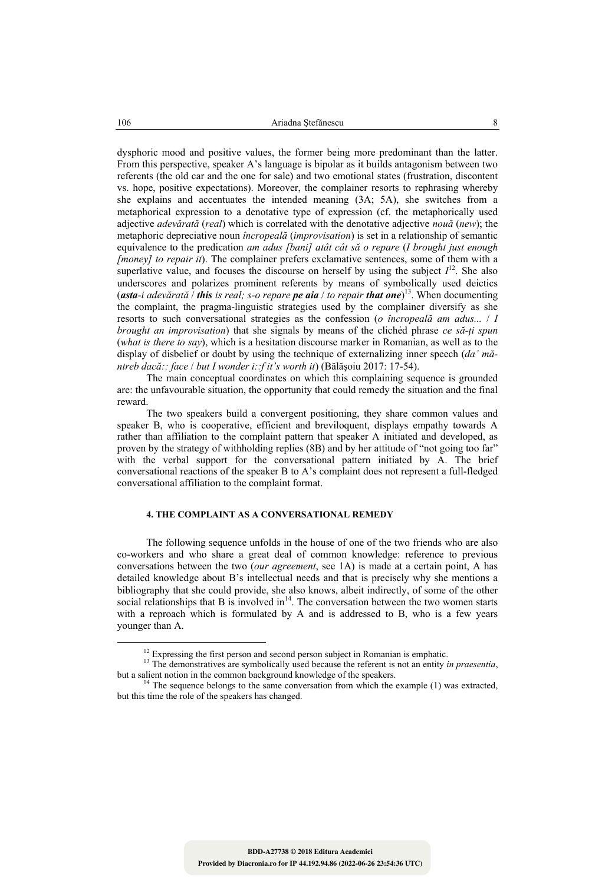dysphoric mood and positive values, the former being more predominant than the latter. From this perspective, speaker A's language is bipolar as it builds antagonism between two referents (the old car and the one for sale) and two emotional states (frustration, discontent vs. hope, positive expectations). Moreover, the complainer resorts to rephrasing whereby she explains and accentuates the intended meaning (3A; 5A), she switches from a metaphorical expression to a denotative type of expression (cf. the metaphorically used adjective *adevărată* (*real*) which is correlated with the denotative adjective *nouă* (*new*); the metaphoric depreciative noun *încropeală* (*improvisation*) is set in a relationship of semantic equivalence to the predication *am adus [bani] atât cât să o repare* (*I brought just enough [money] to repair it*). The complainer prefers exclamative sentences, some of them with a superlative value, and focuses the discourse on herself by using the subject  $I<sup>12</sup>$ . She also underscores and polarizes prominent referents by means of symbolically used deictics (*asta-i adevărată* / *this is real; s-o repare pe aia* / *to repair that one*) 13. When documenting the complaint, the pragma-linguistic strategies used by the complainer diversify as she resorts to such conversational strategies as the confession (*o încropeală am adus...* / *I brought an improvisation*) that she signals by means of the clichéd phrase *ce să-ţi spun* (*what is there to say*), which is a hesitation discourse marker in Romanian, as well as to the display of disbelief or doubt by using the technique of externalizing inner speech (*da' măntreb dacă:: face* / *but I wonder i::f it's worth it*) (Bălăşoiu 2017: 17-54).

 The main conceptual coordinates on which this complaining sequence is grounded are: the unfavourable situation, the opportunity that could remedy the situation and the final reward.

The two speakers build a convergent positioning, they share common values and speaker B, who is cooperative, efficient and breviloquent, displays empathy towards A rather than affiliation to the complaint pattern that speaker A initiated and developed, as proven by the strategy of withholding replies (8B) and by her attitude of "not going too far" with the verbal support for the conversational pattern initiated by A. The brief conversational reactions of the speaker B to A's complaint does not represent a full-fledged conversational affiliation to the complaint format.

## **4. THE COMPLAINT AS A CONVERSATIONAL REMEDY**

The following sequence unfolds in the house of one of the two friends who are also co-workers and who share a great deal of common knowledge: reference to previous conversations between the two (*our agreement*, see 1A) is made at a certain point, A has detailed knowledge about B's intellectual needs and that is precisely why she mentions a bibliography that she could provide, she also knows, albeit indirectly, of some of the other social relationships that B is involved in $<sup>14</sup>$ . The conversation between the two women starts</sup> with a reproach which is formulated by A and is addressed to B, who is a few years younger than A.

<sup>&</sup>lt;sup>12</sup> Expressing the first person and second person subject in Romanian is emphatic. <sup>13</sup> The demonstratives are symbolically used because the referent is not an entity *in praesentia*, but a salient notion in the common b

 $4\text{ The sequence belongs to the same conversation from which the example (1) was extracted, }$ but this time the role of the speakers has changed.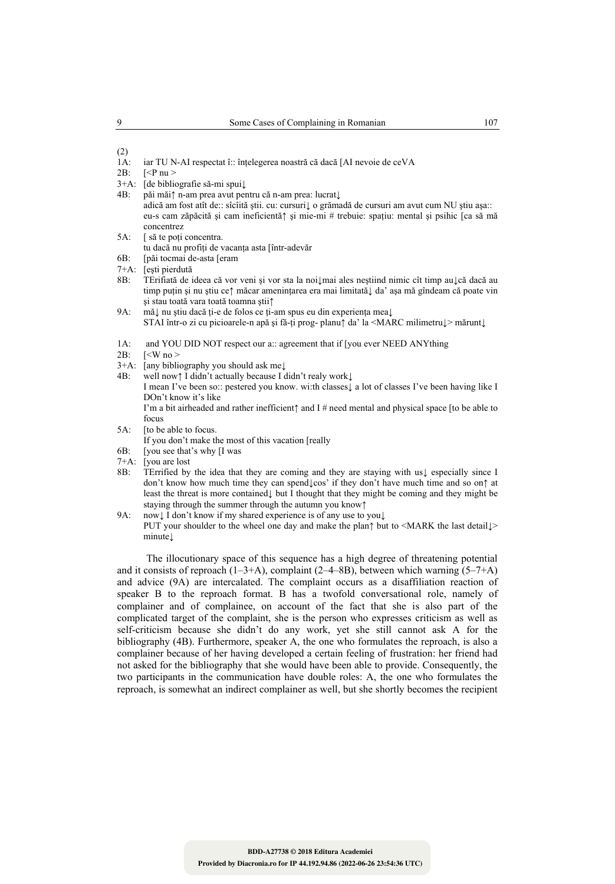#### $\frac{(2)}{1A}$ iar TU N-AI respectat î:: înțelegerea noastră că dacă [AI nevoie de ceVA

- 3+A: [de bibliografie să-mi spui↓
- 4B: păi măi↑ n-am prea avut pentru că n-am prea: lucrat↓ adică am fost atît de:: sîcîită ştii. cu: cursuri↓ o grămadă de cursuri am avut cum NU ştiu aşa:: eu-s cam zăpăcită şi cam ineficientă↑ şi mie-mi # trebuie: spaţiu: mental şi psihic [ca să mă
- concentrez
- 5A: [ să te poți concentra.
- tu dacă nu profiţi de vacanţa asta [într-adevăr
- 6B: [păi tocmai de-asta [eram
- 7+A: [eşti pierdută
- 8B: TErifiată de ideea că vor veni şi vor sta la noi↓mai ales neştiind nimic cît timp au↓că dacă au timp puţin şi nu ştiu ce↑ măcar ameninţarea era mai limitată↓ da' aşa mă gîndeam că poate vin şi stau toată vara toată toamna ştii↑
- 9A: mă↓ nu ştiu dacă ţi-e de folos ce ţi-am spus eu din experienţa mea↓
- STAI într-o zi cu picioarele-n apă şi fă-ţi prog- planu↑ da' la <MARC milimetru↓> mărunt↓
- 1A: and YOU DID NOT respect our a:: agreement that if [you ever NEED ANYthing  $2B$ :  $\leq W$  no  $\geq$
- $\sqrt{2}$   $\leq$  W no  $>$
- 3+A: [any bibliography you should ask me↓
- 4B: well now↑ I didn't actually because I didn't realy work↓

I mean I've been so:: pestered you know. wi:th classes↓ a lot of classes I've been having like I DOn't know it's like

I'm a bit airheaded and rather inefficient↑ and I # need mental and physical space [to be able to focus

- 5A: [to be able to focus.
- If you don't make the most of this vacation [really
- 6B: [you see that's why [I was
- 7+A: [you are lost 8B: TErrified by
- 8B: TErrified by the idea that they are coming and they are staying with us↓ especially since I don't know how much time they can spend↓cos' if they don't have much time and so on↑ at least the threat is more contained↓ but I thought that they might be coming and they might be staying through the summer through the autumn you know↑
- 9A: now↓ I don't know if my shared experience is of any use to you↓

PUT your shoulder to the wheel one day and make the plan↑ but to <MARK the last detail↓ minute↓

The illocutionary space of this sequence has a high degree of threatening potential and it consists of reproach  $(1-3+A)$ , complaint  $(2-4-8B)$ , between which warning  $(5-7+A)$ and advice (9A) are intercalated. The complaint occurs as a disaffiliation reaction of speaker B to the reproach format. B has a twofold conversational role, namely of complainer and of complainee, on account of the fact that she is also part of the complicated target of the complaint, she is the person who expresses criticism as well as self-criticism because she didn't do any work, yet she still cannot ask A for the bibliography (4B). Furthermore, speaker A, the one who formulates the reproach, is also a complainer because of her having developed a certain feeling of frustration: her friend had not asked for the bibliography that she would have been able to provide. Consequently, the two participants in the communication have double roles: A, the one who formulates the reproach, is somewhat an indirect complainer as well, but she shortly becomes the recipient

<sup>2</sup>B:  $\left| \langle P \text{ nu} \rangle \right|$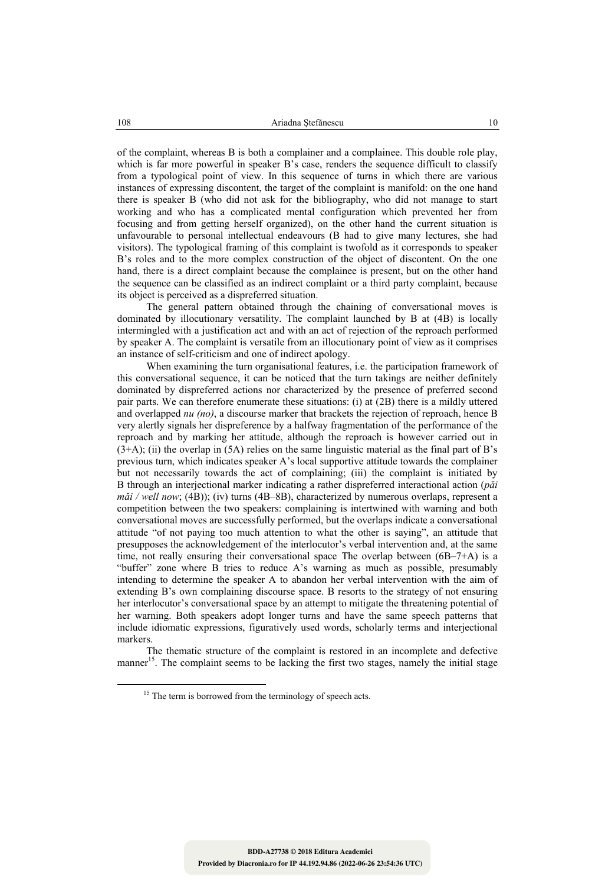of the complaint, whereas B is both a complainer and a complainee. This double role play, which is far more powerful in speaker B's case, renders the sequence difficult to classify from a typological point of view. In this sequence of turns in which there are various instances of expressing discontent, the target of the complaint is manifold: on the one hand there is speaker B (who did not ask for the bibliography, who did not manage to start working and who has a complicated mental configuration which prevented her from focusing and from getting herself organized), on the other hand the current situation is unfavourable to personal intellectual endeavours (B had to give many lectures, she had visitors). The typological framing of this complaint is twofold as it corresponds to speaker B's roles and to the more complex construction of the object of discontent. On the one hand, there is a direct complaint because the complainee is present, but on the other hand the sequence can be classified as an indirect complaint or a third party complaint, because its object is perceived as a dispreferred situation.

 The general pattern obtained through the chaining of conversational moves is dominated by illocutionary versatility. The complaint launched by B at (4B) is locally intermingled with a justification act and with an act of rejection of the reproach performed by speaker A. The complaint is versatile from an illocutionary point of view as it comprises an instance of self-criticism and one of indirect apology.

When examining the turn organisational features, i.e. the participation framework of this conversational sequence, it can be noticed that the turn takings are neither definitely dominated by dispreferred actions nor characterized by the presence of preferred second pair parts. We can therefore enumerate these situations: (i) at (2B) there is a mildly uttered and overlapped *nu (no)*, a discourse marker that brackets the rejection of reproach, hence B very alertly signals her dispreference by a halfway fragmentation of the performance of the reproach and by marking her attitude, although the reproach is however carried out in  $(3+A)$ ; (ii) the overlap in  $(5A)$  relies on the same linguistic material as the final part of B's previous turn, which indicates speaker A's local supportive attitude towards the complainer but not necessarily towards the act of complaining; (iii) the complaint is initiated by B through an interjectional marker indicating a rather dispreferred interactional action (*păi măi / well now*; (4B)); (iv) turns (4B–8B), characterized by numerous overlaps, represent a competition between the two speakers: complaining is intertwined with warning and both conversational moves are successfully performed, but the overlaps indicate a conversational attitude "of not paying too much attention to what the other is saying", an attitude that presupposes the acknowledgement of the interlocutor's verbal intervention and, at the same time, not really ensuring their conversational space The overlap between (6B–7+A) is a "buffer" zone where B tries to reduce A's warning as much as possible, presumably intending to determine the speaker A to abandon her verbal intervention with the aim of extending B's own complaining discourse space. B resorts to the strategy of not ensuring her interlocutor's conversational space by an attempt to mitigate the threatening potential of her warning. Both speakers adopt longer turns and have the same speech patterns that include idiomatic expressions, figuratively used words, scholarly terms and interjectional markers.

 The thematic structure of the complaint is restored in an incomplete and defective manner<sup>15</sup>. The complaint seems to be lacking the first two stages, namely the initial stage

<sup>&</sup>lt;sup>15</sup> The term is borrowed from the terminology of speech acts.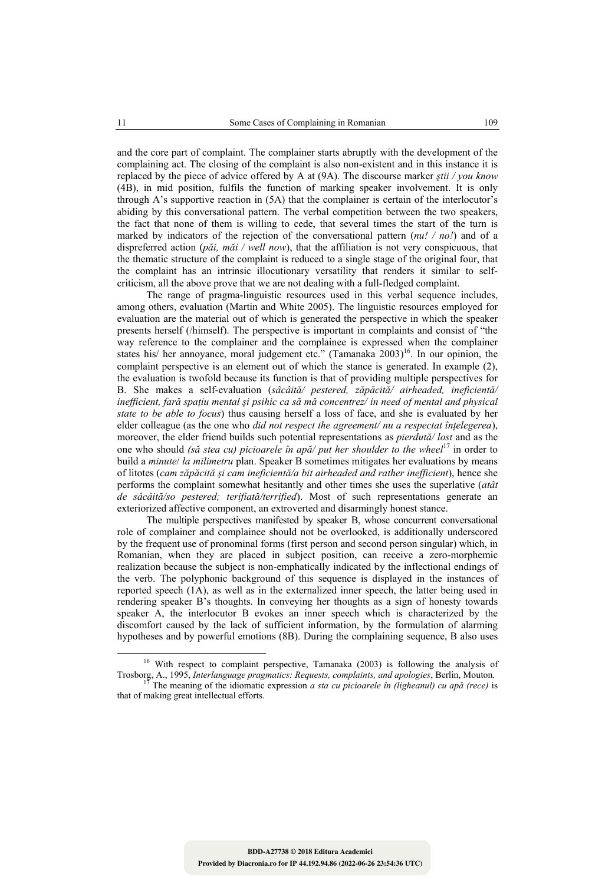and the core part of complaint. The complainer starts abruptly with the development of the complaining act. The closing of the complaint is also non-existent and in this instance it is replaced by the piece of advice offered by A at (9A). The discourse marker *ştii / you know* (4B), in mid position, fulfils the function of marking speaker involvement. It is only through A's supportive reaction in (5A) that the complainer is certain of the interlocutor's abiding by this conversational pattern. The verbal competition between the two speakers, the fact that none of them is willing to cede, that several times the start of the turn is marked by indicators of the rejection of the conversational pattern (*nu! / no!*) and of a dispreferred action (*păi, măi / well now*), that the affiliation is not very conspicuous, that the thematic structure of the complaint is reduced to a single stage of the original four, that the complaint has an intrinsic illocutionary versatility that renders it similar to selfcriticism, all the above prove that we are not dealing with a full-fledged complaint.

 The range of pragma-linguistic resources used in this verbal sequence includes, among others, evaluation (Martin and White 2005). The linguistic resources employed for evaluation are the material out of which is generated the perspective in which the speaker presents herself (/himself). The perspective is important in complaints and consist of "the way reference to the complainer and the complainee is expressed when the complainer states his/ her annoyance, moral judgement etc." (Tamanaka 2003)<sup>16</sup>. In our opinion, the complaint perspective is an element out of which the stance is generated. In example (2), the evaluation is twofold because its function is that of providing multiple perspectives for B. She makes a self-evaluation (*sâcâită/ pestered, zăpăcită/ airheaded, ineficientă/ inefficient, fară spaţiu mental şi psihic ca să mă concentrez/ in need of mental and physical state to be able to focus*) thus causing herself a loss of face, and she is evaluated by her elder colleague (as the one who *did not respect the agreement/ nu a respectat înţelegerea*), moreover, the elder friend builds such potential representations as *pierdută/ lost* and as the one who should *(să stea cu) picioarele în apă/ put her shoulder to the wheel*<sup>17</sup> in order to build a *minute*/ *la milimetru* plan. Speaker B sometimes mitigates her evaluations by means of litotes (*cam zăpăcită şi cam ineficientă/a bit airheaded and rather inefficient*), hence she performs the complaint somewhat hesitantly and other times she uses the superlative (*atât de sâcâită/so pestered; terifiată/terrified*). Most of such representations generate an exteriorized affective component, an extroverted and disarmingly honest stance.

The multiple perspectives manifested by speaker B, whose concurrent conversational role of complainer and complainee should not be overlooked, is additionally underscored by the frequent use of pronominal forms (first person and second person singular) which, in Romanian, when they are placed in subject position, can receive a zero-morphemic realization because the subject is non-emphatically indicated by the inflectional endings of the verb. The polyphonic background of this sequence is displayed in the instances of reported speech (1A), as well as in the externalized inner speech, the latter being used in rendering speaker B's thoughts. In conveying her thoughts as a sign of honesty towards speaker A, the interlocutor B evokes an inner speech which is characterized by the discomfort caused by the lack of sufficient information, by the formulation of alarming hypotheses and by powerful emotions (8B). During the complaining sequence, B also uses

<sup>&</sup>lt;sup>16</sup> With respect to complaint perspective, Tamanaka (2003) is following the analysis of Trosborg, A., 1995, *Interlanguage pragmatics: Requests, complaints, and apologies*, Berlin, Mouton. 17 The meaning of the idiomatic expression *a sta cu picioarele în (ligheanul) cu apă (rece)* is

that of making great intellectual efforts.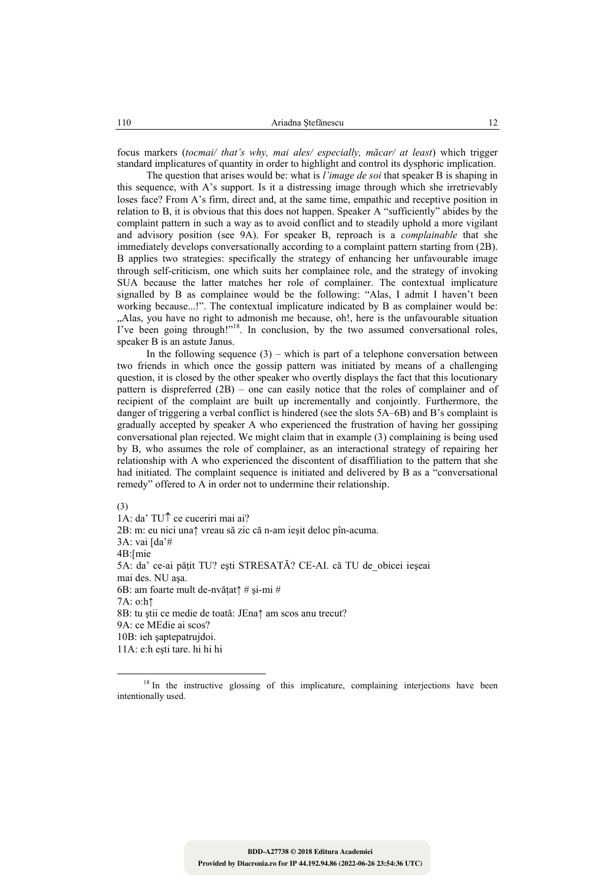focus markers (*tocmai/ that's why, mai ales/ especially, măcar/ at least*) which trigger standard implicatures of quantity in order to highlight and control its dysphoric implication.

 The question that arises would be: what is *l'image de soi* that speaker B is shaping in this sequence, with A's support. Is it a distressing image through which she irretrievably loses face? From A's firm, direct and, at the same time, empathic and receptive position in relation to B, it is obvious that this does not happen. Speaker A "sufficiently" abides by the complaint pattern in such a way as to avoid conflict and to steadily uphold a more vigilant and advisory position (see 9A). For speaker B, reproach is a *complainable* that she immediately develops conversationally according to a complaint pattern starting from (2B). B applies two strategies: specifically the strategy of enhancing her unfavourable image through self-criticism, one which suits her complainee role, and the strategy of invoking SUA because the latter matches her role of complainer. The contextual implicature signalled by B as complainee would be the following: "Alas, I admit I haven't been working because...!". The contextual implicature indicated by B as complainer would be: "Alas, you have no right to admonish me because, oh!, here is the unfavourable situation I've been going through!"18. In conclusion, by the two assumed conversational roles, speaker B is an astute Janus.

In the following sequence  $(3)$  – which is part of a telephone conversation between two friends in which once the gossip pattern was initiated by means of a challenging question, it is closed by the other speaker who overtly displays the fact that this locutionary pattern is dispreferred (2B) – one can easily notice that the roles of complainer and of recipient of the complaint are built up incrementally and conjointly. Furthermore, the danger of triggering a verbal conflict is hindered (see the slots 5A–6B) and B's complaint is gradually accepted by speaker A who experienced the frustration of having her gossiping conversational plan rejected. We might claim that in example (3) complaining is being used by B, who assumes the role of complainer, as an interactional strategy of repairing her relationship with A who experienced the discontent of disaffiliation to the pattern that she had initiated. The complaint sequence is initiated and delivered by B as a "conversational remedy" offered to A in order not to undermine their relationship.

(3)

1A: da' TU↑ ce cuceriri mai ai? 2B: m: eu nici una↑ vreau să zic că n-am ieşit deloc pîn-acuma. 3A: vai [da'# 4B:[mie 5A: da' ce-ai pătit TU? esti STRESATĂ? CE-AI. că TU de obicei ieșeai mai des. NU aşa. 6B: am foarte mult de-nvăţat↑ # şi-mi # 7A: o:h↑ 8B: tu ştii ce medie de toată: JEna↑ am scos anu trecut? 9A: ce MEdie ai scos? 10B: ieh şaptepatrujdoi. 11A: e:h eşti tare. hi hi hi

<sup>&</sup>lt;sup>18</sup> In the instructive glossing of this implicature, complaining interjections have been intentionally used.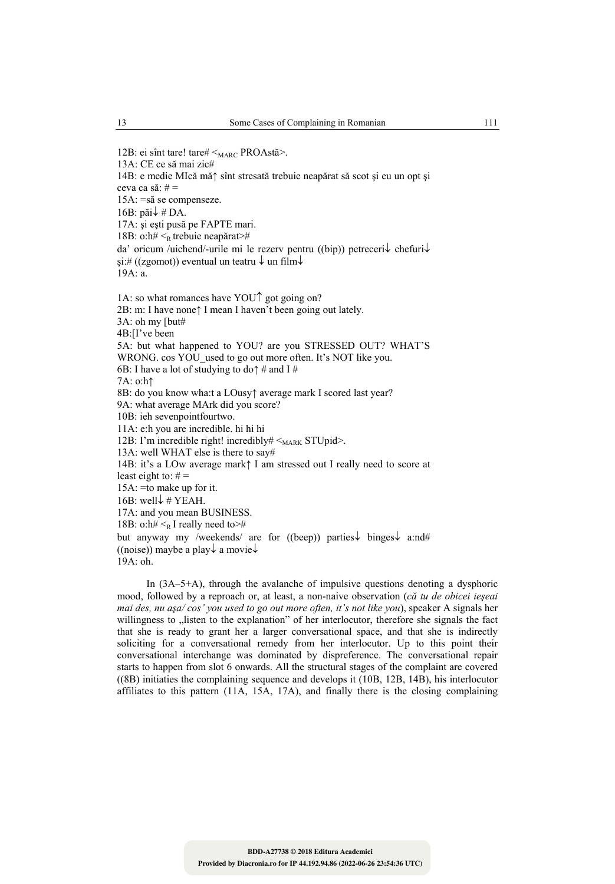14B: e medie MIcă mă↑ sînt stresată trebuie neapărat să scot şi eu un opt şi ceva ca să:  $# =$ 15A: =să se compenseze. 16B: păi↓ # DA. 17A: şi eşti pusă pe FAPTE mari. 18B: o:h#  $\leq_R$  trebuie neapărat># da' oricum /uichend/-urile mi le rezerv pentru ((bip)) petreceri↓ chefuri↓  $si$ :# ((zgomot)) eventual un teatru  $\downarrow$  un film $\downarrow$ 19A: a. 1A: so what romances have YOU↑ got going on? 2B: m: I have none↑ I mean I haven't been going out lately. 3A: oh my [but# 4B:[I've been 5A: but what happened to YOU? are you STRESSED OUT? WHAT'S WRONG. cos YOU used to go out more often. It's NOT like you. 6B: I have a lot of studying to do $\uparrow$  # and I # 7A: o:h↑ 8B: do you know wha:t a LOusy↑ average mark I scored last year? 9A: what average MArk did you score? 10B: ieh sevenpointfourtwo. 11A: e:h you are incredible. hi hi hi 12B: I'm incredible right! incredibly#  $\leq_{\text{MARK}}$  STUpid>. 13A: well WHAT else is there to say# 14B: it's a LOw average mark↑ I am stressed out I really need to score at least eight to:  $# =$ 15A: =to make up for it. 16B: well $\downarrow \#$  YEAH. 17A: and you mean BUSINESS. 18B: o:h#  $\leq_R I$  really need to># but anyway my /weekends/ are for ((beep)) parties↓ binges↓ a:nd# ((noise)) maybe a play  $\downarrow$  a movie  $\downarrow$ 19A: oh.

In (3A–5+A), through the avalanche of impulsive questions denoting a dysphoric mood, followed by a reproach or, at least, a non-naive observation (*că tu de obicei ieşeai mai des, nu aşa/ cos' you used to go out more often, it's not like you*), speaker A signals her willingness to "listen to the explanation" of her interlocutor, therefore she signals the fact that she is ready to grant her a larger conversational space, and that she is indirectly soliciting for a conversational remedy from her interlocutor. Up to this point their conversational interchange was dominated by dispreference. The conversational repair starts to happen from slot 6 onwards. All the structural stages of the complaint are covered ((8B) initiaties the complaining sequence and develops it (10B, 12B, 14B), his interlocutor affiliates to this pattern (11A, 15A, 17A), and finally there is the closing complaining

13A: CE ce să mai zic#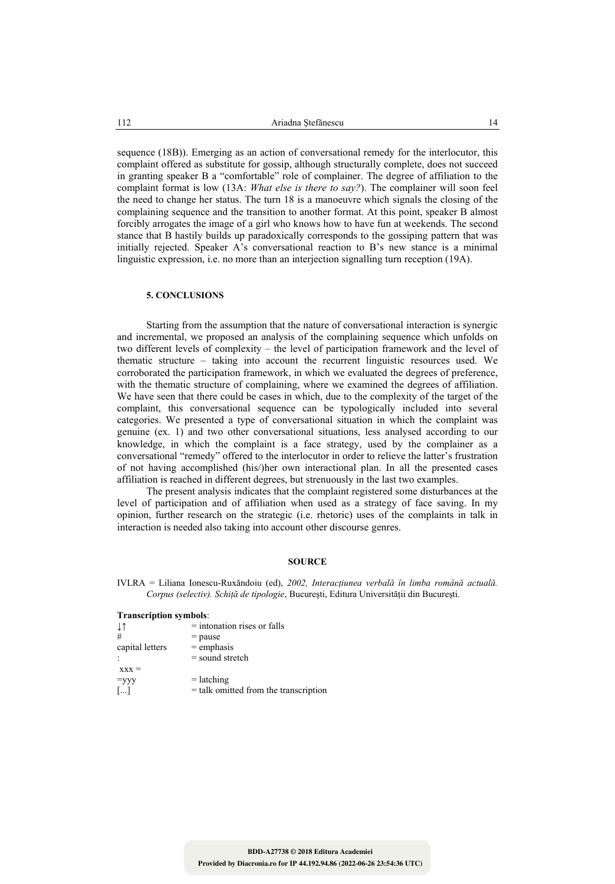sequence (18B)). Emerging as an action of conversational remedy for the interlocutor, this complaint offered as substitute for gossip, although structurally complete, does not succeed in granting speaker B a "comfortable" role of complainer. The degree of affiliation to the complaint format is low (13A: *What else is there to say?*). The complainer will soon feel the need to change her status. The turn 18 is a manoeuvre which signals the closing of the complaining sequence and the transition to another format. At this point, speaker B almost forcibly arrogates the image of a girl who knows how to have fun at weekends. The second stance that B hastily builds up paradoxically corresponds to the gossiping pattern that was initially rejected. Speaker A's conversational reaction to B's new stance is a minimal linguistic expression, i.e. no more than an interjection signalling turn reception (19A).

### **5. CONCLUSIONS**

Starting from the assumption that the nature of conversational interaction is synergic and incremental, we proposed an analysis of the complaining sequence which unfolds on two different levels of complexity – the level of participation framework and the level of thematic structure – taking into account the recurrent linguistic resources used. We corroborated the participation framework, in which we evaluated the degrees of preference, with the thematic structure of complaining, where we examined the degrees of affiliation. We have seen that there could be cases in which, due to the complexity of the target of the complaint, this conversational sequence can be typologically included into several categories. We presented a type of conversational situation in which the complaint was genuine (ex. 1) and two other conversational situations, less analysed according to our knowledge, in which the complaint is a face strategy, used by the complainer as a conversational "remedy" offered to the interlocutor in order to relieve the latter's frustration of not having accomplished (his/)her own interactional plan. In all the presented cases affiliation is reached in different degrees, but strenuously in the last two examples.

The present analysis indicates that the complaint registered some disturbances at the level of participation and of affiliation when used as a strategy of face saving. In my opinion, further research on the strategic (i.e. rhetoric) uses of the complaints in talk in interaction is needed also taking into account other discourse genres.

#### **SOURCE**

IVLRA = Liliana Ionescu-Ruxăndoiu (ed), *2002, Interacţiunea verbală în limba română actuală. Corpus (selectiv). Schiţă de tipologie*, Bucureşti, Editura Universităţii din Bucureşti.

| <b>Transcription symbols:</b> |                                         |  |  |
|-------------------------------|-----------------------------------------|--|--|
| ↓↑                            | $=$ intonation rises or falls           |  |  |
| #                             | $=$ pause                               |  |  |
| capital letters               | $=$ emphasis                            |  |  |
|                               | $=$ sound stretch                       |  |  |
| $\bf{XXX}$ =                  |                                         |  |  |
| $=yyy$                        | $=$ latching                            |  |  |
| $\left[\ldots\right]$         | $=$ talk omitted from the transcription |  |  |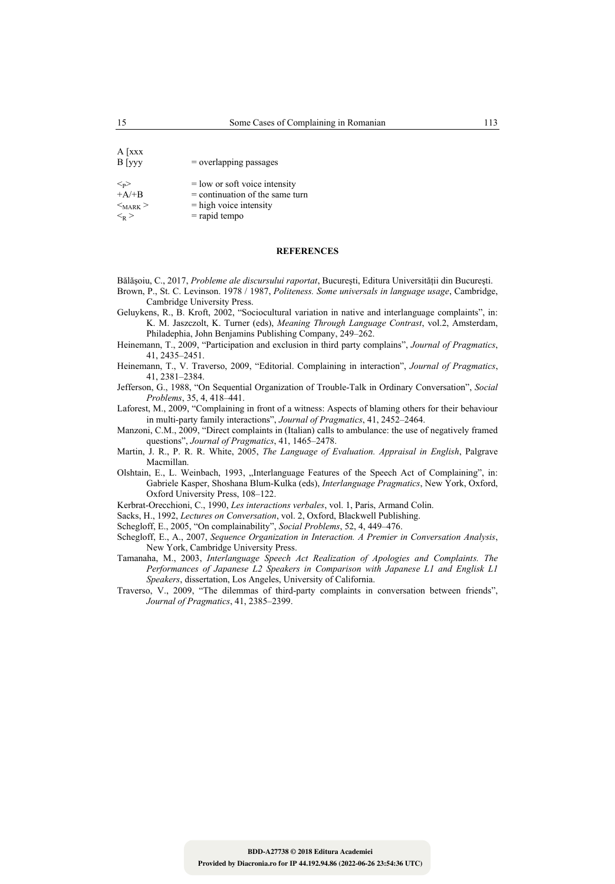A [xxx  $B$  [yyy = overlapping passages  $\langle -\rangle$  = low or soft voice intensity<br>+A/+B = continuation of the same t  $=$  continuation of the same turn  $<sub>MARK</sub>$  > = high voice intensity</sub>  $\langle k \rangle$  = rapid tempo

#### **REFERENCES**

Bălășoiu, C., 2017, *Probleme ale discursului raportat*, București, Editura Universității din București. Brown, P., St. C. Levinson. 1978 / 1987, *Politeness. Some universals in language usage*, Cambridge, Cambridge University Press.

- Geluykens, R., B. Kroft, 2002, "Sociocultural variation in native and interlanguage complaints", in: K. M. Jaszczolt, K. Turner (eds), *Meaning Through Language Contrast*, vol.2, Amsterdam, Philadephia, John Benjamins Publishing Company, 249–262.
- Heinemann, T., 2009, "Participation and exclusion in third party complains", *Journal of Pragmatics*, 41, 2435–2451.
- Heinemann, T., V. Traverso, 2009, "Editorial. Complaining in interaction", *Journal of Pragmatics*, 41, 2381–2384.
- Jefferson, G., 1988, "On Sequential Organization of Trouble-Talk in Ordinary Conversation", *Social Problems*, 35, 4, 418–441.

Laforest, M., 2009, "Complaining in front of a witness: Aspects of blaming others for their behaviour in multi-party family interactions", *Journal of Pragmatics*, 41, 2452–2464.

- Manzoni, C.M., 2009, "Direct complaints in (Italian) calls to ambulance: the use of negatively framed questions", *Journal of Pragmatics*, 41, 1465–2478.
- Martin, J. R., P. R. R. White, 2005, *The Language of Evaluation. Appraisal in English*, Palgrave Macmillan.
- Olshtain, E., L. Weinbach, 1993, "Interlanguage Features of the Speech Act of Complaining", in: Gabriele Kasper, Shoshana Blum-Kulka (eds), *Interlanguage Pragmatics*, New York, Oxford, Oxford University Press, 108–122.
- Kerbrat-Orecchioni, C., 1990, *Les interactions verbales*, vol. 1, Paris, Armand Colin.
- Sacks, H., 1992, *Lectures on Conversation*, vol. 2, Oxford, Blackwell Publishing.

Schegloff, E., 2005, "On complainability", *Social Problems*, 52, 4, 449–476.

- Schegloff, E., A., 2007, *Sequence Organization in Interaction. A Premier in Conversation Analysis*, New York, Cambridge University Press.
- Tamanaha, M., 2003, *Interlanguage Speech Act Realization of Apologies and Complaints. The Performances of Japanese L2 Speakers in Comparison with Japanese L1 and Englisk L1 Speakers*, dissertation, Los Angeles, University of California.
- Traverso, V., 2009, "The dilemmas of third-party complaints in conversation between friends", *Journal of Pragmatics*, 41, 2385–2399.